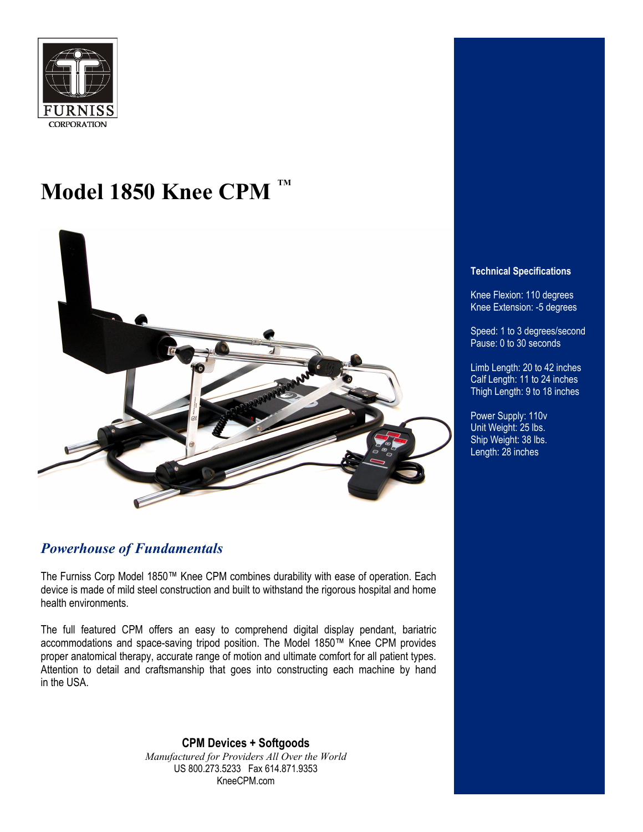

### **Model 1850 Knee CPM TM**



### *Powerhouse of Fundamentals*

The Furniss Corp Model 1850™ Knee CPM combines durability with ease of operation. Each device is made of mild steel construction and built to withstand the rigorous hospital and home health environments.

The full featured CPM offers an easy to comprehend digital display pendant, bariatric accommodations and space-saving tripod position. The Model 1850™ Knee CPM provides proper anatomical therapy, accurate range of motion and ultimate comfort for all patient types. Attention to detail and craftsmanship that goes into constructing each machine by hand in the USA.

> **CPM Devices + Softgoods** *Manufactured for Providers All Over the World*  US 800.273.5233 Fax 614.871.9353 KneeCPM.com

#### **Technical Specifications**

Knee Flexion: 110 degrees Knee Extension: -5 degrees

Speed: 1 to 3 degrees/second Pause: 0 to 30 seconds

Limb Length: 20 to 42 inches Calf Length: 11 to 24 inches Thigh Length: 9 to 18 inches

Power Supply: 110v Unit Weight: 25 lbs. Ship Weight: 38 lbs. Length: 28 inches